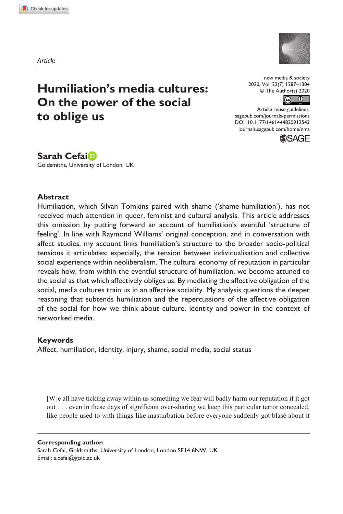**9125[43](http://crossmark.crossref.org/dialog/?doi=10.1177%2F1461444820912543&domain=pdf&date_stamp=2020-07-22)** NMS0010.1177/1461444820912543New Media & Society**Cefai**



# **Humiliation's media cultures: On the power of the social to oblige us**

new media & society 2020, Vol. 22(7) 1287–1304 © The Author(s) 2020

 $\overline{60}$   $\overline{0}$ 

DOI: 10.1177/1461444820912543 Article reuse guidelines: [sagepub.com/journals-permissions](https://uk.sagepub.com/en-gb/journals-permissions) [journals.sagepub.com/home/nms](https://journals.sagepub.com/home/nms)



**Sarah Cefai**

Goldsmiths, University of London, UK

#### **Abstract**

Humiliation, which Silvan Tomkins paired with shame ('shame-humiliation'), has not received much attention in queer, feminist and cultural analysis. This article addresses this omission by putting forward an account of humiliation's eventful 'structure of feeling'. In line with Raymond Williams' original conception, and in conversation with affect studies, my account links humiliation's structure to the broader socio-political tensions it articulates: especially, the tension between individualisation and collective social experience within neoliberalism. The cultural economy of reputation in particular reveals how, from within the eventful structure of humiliation, we become attuned to the social as that which affectively obliges us. By mediating the affective obligation of the social, media cultures train us in an affective sociality. My analysis questions the deeper reasoning that subtends humiliation and the repercussions of the affective obligation of the social for how we think about culture, identity and power in the context of networked media.

### **Keywords**

Affect, humiliation, identity, injury, shame, social media, social status

[W]e all have ticking away within us something we fear will badly harm our reputation if it got out . . . even in these days of significant over-sharing we keep this particular terror concealed, like people used to with things like masturbation before everyone suddenly got blasé about it

**Corresponding author:**

Sarah Cefai, Goldsmiths, University of London, London SE14 6NW, UK. Email: [s.cefai@gold.ac.uk](mailto:s.cefai@gold.ac.uk)

*Article*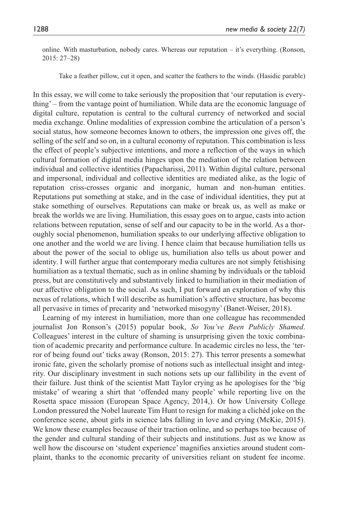online. With masturbation, nobody cares. Whereas our reputation – it's everything. (Ronson, 2015: 27–28)

Take a feather pillow, cut it open, and scatter the feathers to the winds. (Hasidic parable)

In this essay, we will come to take seriously the proposition that 'our reputation is everything' – from the vantage point of humiliation. While data are the economic language of digital culture, reputation is central to the cultural currency of networked and social media exchange. Online modalities of expression combine the articulation of a person's social status, how someone becomes known to others, the impression one gives off, the selling of the self and so on, in a cultural economy of reputation. This combination is less the effect of people's subjective intentions, and more a reflection of the ways in which cultural formation of digital media hinges upon the mediation of the relation between individual and collective identities (Papacharissi, 2011). Within digital culture, personal and impersonal, individual and collective identities are mediated alike, as the logic of reputation criss-crosses organic and inorganic, human and non-human entities. Reputations put something at stake, and in the case of individual identities, they put at stake something of ourselves. Reputations can make or break us, as well as make or break the worlds we are living. Humiliation, this essay goes on to argue, casts into action relations between reputation, sense of self and our capacity to be in the world. As a thoroughly social phenomenon, humiliation speaks to our underlying affective obligation to one another and the world we are living. I hence claim that because humiliation tells us about the power of the social to oblige us, humiliation also tells us about power and identity. I will further argue that contemporary media cultures are not simply fetishising humiliation as a textual thematic, such as in online shaming by individuals or the tabloid press, but are constitutively and substantively linked to humiliation in their mediation of our affective obligation to the social. As such, I put forward an exploration of why this nexus of relations, which I will describe as humiliation's affective structure, has become all pervasive in times of precarity and 'networked misogyny' (Banet-Weiser, 2018).

Learning of my interest in humiliation, more than one colleague has recommended journalist Jon Ronson's (2015) popular book, *So You've Been Publicly Shamed*. Colleagues' interest in the culture of shaming is unsurprising given the toxic combination of academic precarity and performance culture. In academic circles no less, the 'terror of being found out' ticks away (Ronson, 2015: 27). This terror presents a somewhat ironic fate, given the scholarly promise of notions such as intellectual insight and integrity. Our disciplinary investment in such notions sets up our fallibility in the event of their failure. Just think of the scientist Matt Taylor crying as he apologises for the 'big mistake' of wearing a shirt that 'offended many people' while reporting live on the Rosetta space mission (European Space Agency, 2014,). Or how University College London pressured the Nobel laureate Tim Hunt to resign for making a clichéd joke on the conference scene, about girls in science labs falling in love and crying (McKie, 2015). We know these examples because of their traction online, and so perhaps too because of the gender and cultural standing of their subjects and institutions. Just as we know as well how the discourse on 'student experience' magnifies anxieties around student complaint, thanks to the economic precarity of universities reliant on student fee income.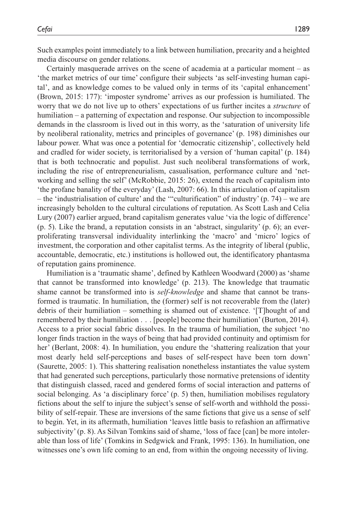Such examples point immediately to a link between humiliation, precarity and a heighted media discourse on gender relations.

Certainly masquerade arrives on the scene of academia at a particular moment – as 'the market metrics of our time' configure their subjects 'as self-investing human capital', and as knowledge comes to be valued only in terms of its 'capital enhancement' (Brown, 2015: 177): 'imposter syndrome' arrives as our profession is humiliated. The worry that we do not live up to others' expectations of us further incites a *structure* of humiliation – a patterning of expectation and response. Our subjection to incompossible demands in the classroom is lived out in this worry, as the 'saturation of university life by neoliberal rationality, metrics and principles of governance' (p. 198) diminishes our labour power. What was once a potential for 'democratic citizenship', collectively held and cradled for wider society, is territorialised by a version of 'human capital' (p. 184) that is both technocratic and populist. Just such neoliberal transformations of work, including the rise of entrepreneurialism, casualisation, performance culture and 'networking and selling the self' (McRobbie, 2015: 26), extend the reach of capitalism into 'the profane banality of the everyday' (Lash, 2007: 66). In this articulation of capitalism – the 'industrialisation of culture' and the '"culturification" of industry' (p. 74) – we are increasingly beholden to the cultural circulations of reputation. As Scott Lash and Celia Lury (2007) earlier argued, brand capitalism generates value 'via the logic of difference' (p. 5). Like the brand, a reputation consists in an 'abstract, singularity' (p. 6); an everproliferating transversal individuality interlinking the 'macro' and 'micro' logics of investment, the corporation and other capitalist terms. As the integrity of liberal (public, accountable, democratic, etc.) institutions is hollowed out, the identificatory phantasma of reputation gains prominence.

Humiliation is a 'traumatic shame', defined by Kathleen Woodward (2000) as 'shame that cannot be transformed into knowledge' (p. 213). The knowledge that traumatic shame cannot be transformed into is *self-knowledge* and shame that cannot be transformed is traumatic. In humiliation, the (former) self is not recoverable from the (later) debris of their humiliation – something is shamed out of existence. '[T]hought of and remembered by their humiliation . . . [people] become their humiliation' (Burton, 2014). Access to a prior social fabric dissolves. In the trauma of humiliation, the subject 'no longer finds traction in the ways of being that had provided continuity and optimism for her' (Berlant, 2008: 4). In humiliation, you endure the 'shattering realization that your most dearly held self-perceptions and bases of self-respect have been torn down' (Saurette, 2005: 1). This shattering realisation nonetheless instantiates the value system that had generated such perceptions, particularly those normative pretensions of identity that distinguish classed, raced and gendered forms of social interaction and patterns of social belonging. As 'a disciplinary force' (p. 5) then, humiliation mobilises regulatory fictions about the self to injure the subject's sense of self-worth and withhold the possibility of self-repair. These are inversions of the same fictions that give us a sense of self to begin. Yet, in its aftermath, humiliation 'leaves little basis to refashion an affirmative subjectivity' (p. 8). As Silvan Tomkins said of shame, 'loss of face [can] be more intolerable than loss of life' (Tomkins in Sedgwick and Frank, 1995: 136). In humiliation, one witnesses one's own life coming to an end, from within the ongoing necessity of living.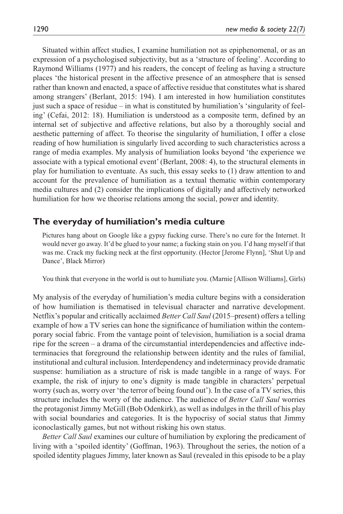Situated within affect studies, I examine humiliation not as epiphenomenal, or as an expression of a psychologised subjectivity, but as a 'structure of feeling'. According to Raymond Williams (1977) and his readers, the concept of feeling as having a structure places 'the historical present in the affective presence of an atmosphere that is sensed rather than known and enacted, a space of affective residue that constitutes what is shared among strangers' (Berlant, 2015: 194). I am interested in how humiliation constitutes just such a space of residue – in what is constituted by humiliation's 'singularity of feeling' (Cefai, 2012: 18). Humiliation is understood as a composite term, defined by an internal set of subjective and affective relations, but also by a thoroughly social and aesthetic patterning of affect. To theorise the singularity of humiliation, I offer a close reading of how humiliation is singularly lived according to such characteristics across a range of media examples. My analysis of humiliation looks beyond 'the experience we associate with a typical emotional event' (Berlant, 2008: 4), to the structural elements in play for humiliation to eventuate. As such, this essay seeks to (1) draw attention to and account for the prevalence of humiliation as a textual thematic within contemporary media cultures and (2) consider the implications of digitally and affectively networked humiliation for how we theorise relations among the social, power and identity.

## **The everyday of humiliation's media culture**

Pictures hang about on Google like a gypsy fucking curse. There's no cure for the Internet. It would never go away. It'd be glued to your name; a fucking stain on you. I'd hang myself if that was me. Crack my fucking neck at the first opportunity. (Hector [Jerome Flynn], 'Shut Up and Dance', Black Mirror)

You think that everyone in the world is out to humiliate you. (Marnie [Allison Williams], Girls)

My analysis of the everyday of humiliation's media culture begins with a consideration of how humiliation is thematised in televisual character and narrative development. Netflix's popular and critically acclaimed *Better Call Saul* (2015–present) offers a telling example of how a TV series can hone the significance of humiliation within the contemporary social fabric. From the vantage point of television, humiliation is a social drama ripe for the screen – a drama of the circumstantial interdependencies and affective indeterminacies that foreground the relationship between identity and the rules of familial, institutional and cultural inclusion. Interdependency and indeterminacy provide dramatic suspense: humiliation as a structure of risk is made tangible in a range of ways. For example, the risk of injury to one's dignity is made tangible in characters' perpetual worry (such as, worry over 'the terror of being found out'). In the case of a TV series, this structure includes the worry of the audience. The audience of *Better Call Saul* worries the protagonist Jimmy McGill (Bob Odenkirk), as well as indulges in the thrill of his play with social boundaries and categories. It is the hypocrisy of social status that Jimmy iconoclastically games, but not without risking his own status.

*Better Call Saul* examines our culture of humiliation by exploring the predicament of living with a 'spoiled identity' (Goffman, 1963). Throughout the series, the notion of a spoiled identity plagues Jimmy, later known as Saul (revealed in this episode to be a play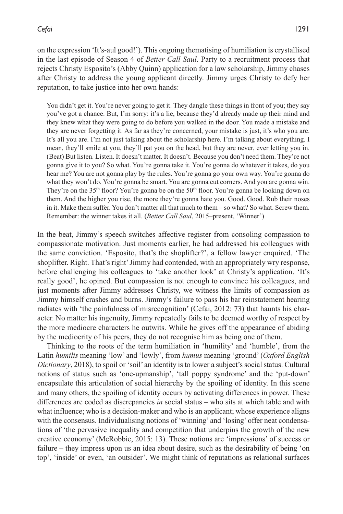on the expression 'It's-aul good!'). This ongoing thematising of humiliation is crystallised in the last episode of Season 4 of *Better Call Saul*. Party to a recruitment process that rejects Christy Esposito's (Abby Quinn) application for a law scholarship, Jimmy chases after Christy to address the young applicant directly. Jimmy urges Christy to defy her reputation, to take justice into her own hands:

You didn't get it. You're never going to get it. They dangle these things in front of you; they say you've got a chance. But, I'm sorry: it's a lie, because they'd already made up their mind and they knew what they were going to do before you walked in the door. You made a mistake and they are never forgetting it. As far as they're concerned, your mistake is just, it's who you are. It's all you are. I'm not just talking about the scholarship here. I'm talking about everything. I mean, they'll smile at you, they'll pat you on the head, but they are never, ever letting you in. (Beat) But listen. Listen. It doesn't matter. It doesn't. Because you don't need them. They're not gonna give it to you? So what. You're gonna take it. You're gonna do whatever it takes, do you hear me? You are not gonna play by the rules. You're gonna go your own way. You're gonna do what they won't do. You're gonna be smart. You are gonna cut corners. And you are gonna win. They're on the 35<sup>th</sup> floor? You're gonna be on the 50<sup>th</sup> floor. You're gonna be looking down on them. And the higher you rise, the more they're gonna hate you. Good. Good. Rub their noses in it. Make them suffer. You don't matter all that much to them – so what? So what. Screw them. Remember: the winner takes it all. (*Better Call Saul*, 2015–present, 'Winner')

In the beat, Jimmy's speech switches affective register from consoling compassion to compassionate motivation. Just moments earlier, he had addressed his colleagues with the same conviction. 'Esposito, that's the shoplifter?', a fellow lawyer enquired. 'The shoplifter. Right. That's right' Jimmy had contended, with an appropriately wry response, before challenging his colleagues to 'take another look' at Christy's application. 'It's really good', he opined. But compassion is not enough to convince his colleagues, and just moments after Jimmy addresses Christy, we witness the limits of compassion as Jimmy himself crashes and burns. Jimmy's failure to pass his bar reinstatement hearing radiates with 'the painfulness of misrecognition' (Cefai, 2012: 73) that haunts his character. No matter his ingenuity, Jimmy repeatedly fails to be deemed worthy of respect by the more mediocre characters he outwits. While he gives off the appearance of abiding by the mediocrity of his peers, they do not recognise him as being one of them.

Thinking to the roots of the term humiliation in 'humility' and 'humble', from the Latin *humilis* meaning 'low' and 'lowly', from *humus* meaning 'ground' (*Oxford English Dictionary*, 2018), to spoil or 'soil' an identity is to lower a subject's social status. Cultural notions of status such as 'one-upmanship', 'tall poppy syndrome' and the 'put-down' encapsulate this articulation of social hierarchy by the spoiling of identity. In this scene and many others, the spoiling of identity occurs by activating differences in power. These differences are coded as discrepancies *in* social status – who sits at which table and with what influence; who is a decision-maker and who is an applicant; whose experience aligns with the consensus. Individualising notions of 'winning' and 'losing' offer neat condensations of 'the pervasive inequality and competition that underpins the growth of the new creative economy' (McRobbie, 2015: 13). These notions are 'impressions' of success or failure – they impress upon us an idea about desire, such as the desirability of being 'on top', 'inside' or even, 'an outsider'. We might think of reputations as relational surfaces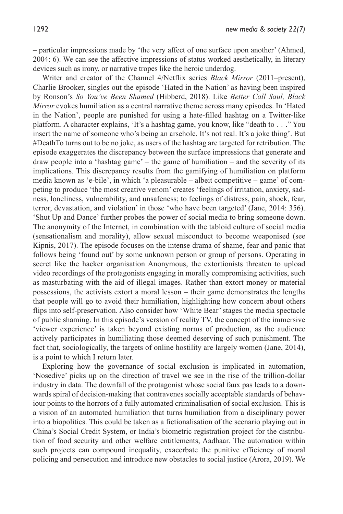– particular impressions made by 'the very affect of one surface upon another' (Ahmed, 2004: 6). We can see the affective impressions of status worked aesthetically, in literary devices such as irony, or narrative tropes like the heroic underdog.

Writer and creator of the Channel 4/Netflix series *Black Mirror* (2011–present), Charlie Brooker, singles out the episode 'Hated in the Nation' as having been inspired by Ronson's *So You've Been Shamed* (Hibberd, 2018). Like *Better Call Saul, Black Mirror* evokes humiliation as a central narrative theme across many episodes. In 'Hated in the Nation', people are punished for using a hate-filled hashtag on a Twitter-like platform. A character explains, 'It's a hashtag game, you know, like "death to . . ." You insert the name of someone who's being an arsehole. It's not real. It's a joke thing'. But #DeathTo turns out to be no joke, as users of the hashtag are targeted for retribution. The episode exaggerates the discrepancy between the surface impressions that generate and draw people into a 'hashtag game' – the game of humiliation – and the severity of its implications. This discrepancy results from the gamifying of humiliation on platform media known as 'e-bile', in which 'a pleasurable – albeit competitive – game' of competing to produce 'the most creative venom' creates 'feelings of irritation, anxiety, sadness, loneliness, vulnerability, and unsafeness; to feelings of distress, pain, shock, fear, terror, devastation, and violation' in those 'who have been targeted' (Jane, 2014: 356). 'Shut Up and Dance' further probes the power of social media to bring someone down. The anonymity of the Internet, in combination with the tabloid culture of social media (sensationalism and morality), allow sexual misconduct to become weaponised (see Kipnis, 2017). The episode focuses on the intense drama of shame, fear and panic that follows being 'found out' by some unknown person or group of persons. Operating in secret like the hacker organisation Anonymous, the extortionists threaten to upload video recordings of the protagonists engaging in morally compromising activities, such as masturbating with the aid of illegal images. Rather than extort money or material possessions, the activists extort a moral lesson – their game demonstrates the lengths that people will go to avoid their humiliation, highlighting how concern about others flips into self-preservation. Also consider how 'White Bear' stages the media spectacle of public shaming. In this episode's version of reality TV, the concept of the immersive 'viewer experience' is taken beyond existing norms of production, as the audience actively participates in humiliating those deemed deserving of such punishment. The fact that, sociologically, the targets of online hostility are largely women (Jane, 2014), is a point to which I return later.

Exploring how the governance of social exclusion is implicated in automation, 'Nosedive' picks up on the direction of travel we see in the rise of the trillion-dollar industry in data. The downfall of the protagonist whose social faux pas leads to a downwards spiral of decision-making that contravenes socially acceptable standards of behaviour points to the horrors of a fully automated criminalisation of social exclusion. This is a vision of an automated humiliation that turns humiliation from a disciplinary power into a biopolitics. This could be taken as a fictionalisation of the scenario playing out in China's Social Credit System, or India's biometric registration project for the distribution of food security and other welfare entitlements, Aadhaar. The automation within such projects can compound inequality, exacerbate the punitive efficiency of moral policing and persecution and introduce new obstacles to social justice (Arora, 2019). We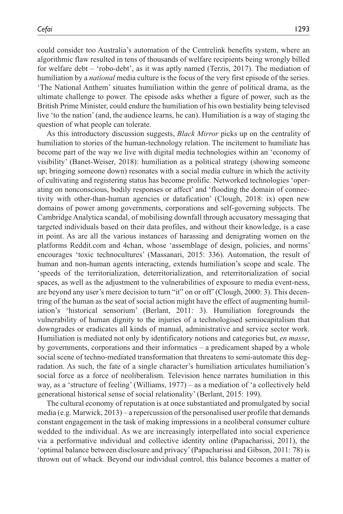could consider too Australia's automation of the Centrelink benefits system, where an algorithmic flaw resulted in tens of thousands of welfare recipients being wrongly billed for welfare debt – 'robo-debt', as it was aptly named (Terzis, 2017). The mediation of humiliation by a *national* media culture is the focus of the very first episode of the series. 'The National Anthem' situates humiliation within the genre of political drama, as the ultimate challenge to power. The episode asks whether a figure of power, such as the British Prime Minister, could endure the humiliation of his own bestiality being televised live 'to the nation' (and, the audience learns, he can). Humiliation is a way of staging the question of what people can tolerate.

As this introductory discussion suggests, *Black Mirror* picks up on the centrality of humiliation to stories of the human-technology relation. The incitement to humiliate has become part of the way we live with digital media technologies within an 'economy of visibility' (Banet-Weiser, 2018): humiliation as a political strategy (showing someone up; bringing someone down) resonates with a social media culture in which the activity of cultivating and registering status has become prolific. Networked technologies 'operating on nonconscious, bodily responses or affect' and 'flooding the domain of connectivity with other-than-human agencies or datafication' (Clough, 2018: ix) open new domains of power among governments, corporations and self-governing subjects. The Cambridge Analytica scandal, of mobilising downfall through accusatory messaging that targeted individuals based on their data profiles, and without their knowledge, is a case in point. As are all the various instances of harassing and denigrating women on the platforms Reddit.com and 4chan, whose 'assemblage of design, policies, and norms' encourages 'toxic technocultures' (Massanari, 2015: 336). Automation, the result of human and non-human agents interacting, extends humiliation's scope and scale. The 'speeds of the territorialization, deterritorialization, and reterritorialization of social spaces, as well as the adjustment to the vulnerabilities of exposure to media event-ness, are beyond any user's mere decision to turn "it" on or off' (Clough, 2000: 3). This decentring of the human as the seat of social action might have the effect of augmenting humiliation's 'historical sensorium' (Berlant, 2011: 3). Humiliation foregrounds the vulnerability of human dignity to the injuries of a technologised semiocapitalism that downgrades or eradicates all kinds of manual, administrative and service sector work. Humiliation is mediated not only by identificatory notions and categories but, *en masse*, by governments, corporations and their informatics – a predicament shaped by a whole social scene of techno-mediated transformation that threatens to semi-automate this degradation. As such, the fate of a single character's humiliation articulates humiliation's social force as a force of neoliberalism. Television hence narrates humiliation in this way, as a 'structure of feeling' (Williams, 1977) – as a mediation of 'a collectively held generational historical sense of social relationality' (Berlant, 2015: 199).

The cultural economy of reputation is at once substantiated and promulgated by social media (e.g. Marwick, 2013) – a repercussion of the personalised user profile that demands constant engagement in the task of making impressions in a neoliberal consumer culture wedded to the individual. As we are increasingly interpellated into social experience via a performative individual and collective identity online (Papacharissi, 2011), the 'optimal balance between disclosure and privacy' (Papacharissi and Gibson, 2011: 78) is thrown out of whack. Beyond our individual control, this balance becomes a matter of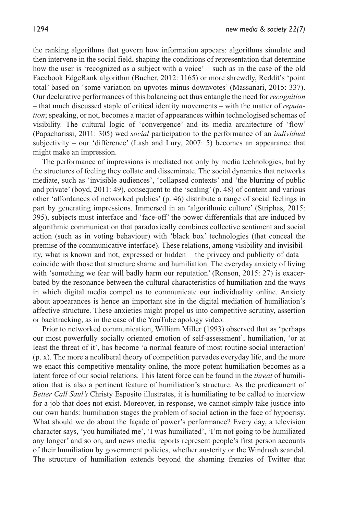the ranking algorithms that govern how information appears: algorithms simulate and then intervene in the social field, shaping the conditions of representation that determine how the user is 'recognized as a subject with a voice' – such as in the case of the old Facebook EdgeRank algorithm (Bucher, 2012: 1165) or more shrewdly, Reddit's 'point total' based on 'some variation on upvotes minus downvotes' (Massanari, 2015: 337). Our declarative performances of this balancing act thus entangle the need for *recognition* – that much discussed staple of critical identity movements – with the matter of *reputation*; speaking, or not, becomes a matter of appearances within technologised schemas of visibility. The cultural logic of 'convergence' and its media architecture of 'flow' (Papacharissi, 2011: 305) wed *social* participation to the performance of an *individual* subjectivity – our 'difference' (Lash and Lury, 2007: 5) becomes an appearance that might make an impression.

The performance of impressions is mediated not only by media technologies, but by the structures of feeling they collate and disseminate. The social dynamics that networks mediate, such as 'invisible audiences', 'collapsed contexts' and 'the blurring of public and private' (boyd, 2011: 49), consequent to the 'scaling' (p. 48) of content and various other 'affordances of networked publics' (p. 46) distribute a range of social feelings in part by generating impressions. Immersed in an 'algorithmic culture' (Striphas, 2015: 395), subjects must interface and 'face-off' the power differentials that are induced by algorithmic communication that paradoxically combines collective sentiment and social action (such as in voting behaviour) with 'black box' technologies (that conceal the premise of the communicative interface). These relations, among visibility and invisibility, what is known and not, expressed or hidden – the privacy and publicity of data – coincide with those that structure shame and humiliation. The everyday anxiety of living with 'something we fear will badly harm our reputation' (Ronson, 2015: 27) is exacerbated by the resonance between the cultural characteristics of humiliation and the ways in which digital media compel us to communicate our individuality online. Anxiety about appearances is hence an important site in the digital mediation of humiliation's affective structure. These anxieties might propel us into competitive scrutiny, assertion or backtracking, as in the case of the YouTube apology video.

Prior to networked communication, William Miller (1993) observed that as 'perhaps our most powerfully socially oriented emotion of self-assessment', humiliation, 'or at least the threat of it', has become 'a normal feature of most routine social interaction' (p. x). The more a neoliberal theory of competition pervades everyday life, and the more we enact this competitive mentality online, the more potent humiliation becomes as a latent force of our social relations. This latent force can be found in the *threat* of humiliation that is also a pertinent feature of humiliation's structure. As the predicament of *Better Call Saul's* Christy Esposito illustrates, it is humiliating to be called to interview for a job that does not exist. Moreover, in response, we cannot simply take justice into our own hands: humiliation stages the problem of social action in the face of hypocrisy. What should we do about the façade of power's performance? Every day, a television character says, 'you humiliated me', 'I was humiliated', 'I'm not going to be humiliated any longer' and so on, and news media reports represent people's first person accounts of their humiliation by government policies, whether austerity or the Windrush scandal. The structure of humiliation extends beyond the shaming frenzies of Twitter that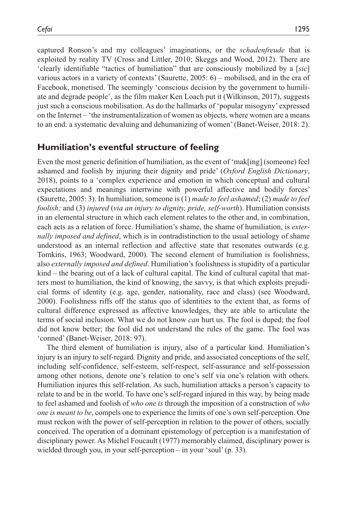captured Ronson's and my colleagues' imaginations, or the *schadenfreude* that is exploited by reality TV (Cross and Littler, 2010; Skeggs and Wood, 2012). There are 'clearly identifiable "tactics of humiliation" that are consciously mobilized by a [*sic*] various actors in a variety of contexts' (Saurette, 2005: 6) – mobilised, and in the era of Facebook, monetised. The seemingly 'conscious decision by the government to humiliate and degrade people', as the film maker Ken Loach put it (Wilkinson, 2017), suggests just such a conscious mobilisation. As do the hallmarks of 'popular misogyny' expressed on the Internet – 'the instrumentalization of women as objects, where women are a means to an end: a systematic devaluing and dehumanizing of women' (Banet-Weiser, 2018: 2).

## **Humiliation's eventful structure of feeling**

Even the most generic definition of humiliation, as the event of 'mak[ing] (someone) feel ashamed and foolish by injuring their dignity and pride' (*Oxford English Dictionary*, 2018), points to a 'complex experience and emotion in which conceptual and cultural expectations and meanings intertwine with powerful affective and bodily forces' (Saurette, 2005: 3). In humiliation, someone is (1) *made to feel ashamed*; (2) *made to feel foolish;* and (3) *injured* (*via an injury to dignity, pride, self-worth*). Humiliation consists in an elemental structure in which each element relates to the other and, in combination, each acts as a relation of force. Humiliation's shame, the shame of humiliation, is *externally imposed and defined*, which is in contradistinction to the usual aetiology of shame understood as an internal reflection and affective state that resonates outwards (e.g. Tomkins, 1963; Woodward, 2000). The second element of humiliation is foolishness, also *externally imposed and defined*. Humiliation's foolishness is stupidity of a particular kind – the bearing out of a lack of cultural capital. The kind of cultural capital that matters most to humiliation, the kind of knowing, the savvy, is that which exploits prejudicial forms of identity (e.g. age, gender, nationality, race and class) (see Woodward, 2000). Foolishness riffs off the status quo of identities to the extent that, as forms of cultural difference expressed as affective knowledges, they are able to articulate the terms of social inclusion. What we do not know *can* hurt us. The fool is duped; the fool did not know better; the fool did not understand the rules of the game. The fool was 'conned' (Banet-Weiser, 2018: 97).

The third element of humiliation is injury, also of a particular kind. Humiliation's injury is an injury to self-regard. Dignity and pride, and associated conceptions of the self, including self-confidence, self-esteem, self-respect, self-assurance and self-possession among other notions, denote one's relation to one's self via one's relation with others. Humiliation injures this self-relation. As such, humiliation attacks a person's capacity to relate to and be in the world. To have one's self-regard injured in this way, by being made to feel ashamed and foolish of *who one is* through the imposition of a construction of *who one is meant to be*, compels one to experience the limits of one's own self-perception. One must reckon with the power of self-perception in relation to the power of others, socially conceived. The operation of a dominant epistemology of perception is a manifestation of disciplinary power. As Michel Foucault (1977) memorably claimed, disciplinary power is wielded through you, in your self-perception – in your 'soul' (p. 33).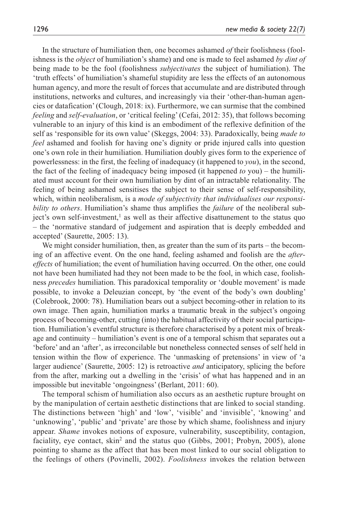In the structure of humiliation then, one becomes ashamed *of* their foolishness (foolishness is the *object* of humiliation's shame) and one is made to feel ashamed *by dint of* being made to be the fool (foolishness *subjectivates* the subject of humiliation). The 'truth effects' of humiliation's shameful stupidity are less the effects of an autonomous human agency, and more the result of forces that accumulate and are distributed through institutions, networks and cultures, and increasingly via their 'other-than-human agencies or datafication' (Clough, 2018: ix). Furthermore, we can surmise that the combined *feeling* and *self-evaluation*, or 'critical feeling' (Cefai, 2012: 35), that follows becoming vulnerable to an injury of this kind is an embodiment of the reflexive definition of the self as 'responsible for its own value' (Skeggs, 2004: 33). Paradoxically, being *made to feel* ashamed and foolish for having one's dignity or pride injured calls into question one's own role in their humiliation. Humiliation doubly gives form to the experience of powerlessness: in the first, the feeling of inadequacy (it happened to *you*), in the second, the fact of the feeling of inadequacy being imposed (it happened *to* you) – the humiliated must account for their own humiliation by dint of an intractable relationality. The feeling of being ashamed sensitises the subject to their sense of self-responsibility, which, within neoliberalism, is a *mode of subjectivity that individualises our responsibility to others*. Humiliation's shame thus amplifies the *failure* of the neoliberal subject's own self-investment,<sup>1</sup> as well as their affective disattunement to the status quo – the 'normative standard of judgement and aspiration that is deeply embedded and accepted' (Saurette, 2005: 13).

We might consider humiliation, then, as greater than the sum of its parts – the becoming of an affective event. On the one hand, feeling ashamed and foolish are the *aftereffects* of humiliation; the event of humiliation having occurred. On the other, one could not have been humiliated had they not been made to be the fool, in which case, foolishness *precedes* humiliation. This paradoxical temporality or 'double movement' is made possible, to invoke a Deleuzian concept, by 'the event of the body's own doubling' (Colebrook, 2000: 78). Humiliation bears out a subject becoming-other in relation to its own image. Then again, humiliation marks a traumatic break in the subject's ongoing process of becoming-other, cutting (into) the habitual affectivity of their social participation. Humiliation's eventful structure is therefore characterised by a potent mix of breakage and continuity – humiliation's event is one of a temporal schism that separates out a 'before' and an 'after', as irreconcilable but nonetheless connected senses of self held in tension within the flow of experience. The 'unmasking of pretensions' in view of 'a larger audience' (Saurette, 2005: 12) is retroactive *and* anticipatory, splicing the before from the after, marking out a dwelling in the 'crisis' of what has happened and in an impossible but inevitable 'ongoingness' (Berlant, 2011: 60).

The temporal schism of humiliation also occurs as an aesthetic rupture brought on by the manipulation of certain aesthetic distinctions that are linked to social standing. The distinctions between 'high' and 'low', 'visible' and 'invisible', 'knowing' and 'unknowing', 'public' and 'private' are those by which shame, foolishness and injury appear. *Shame* invokes notions of exposure, vulnerability, susceptibility, contagion, faciality, eye contact, skin<sup>2</sup> and the status quo (Gibbs, 2001; Probyn, 2005), alone pointing to shame as the affect that has been most linked to our social obligation to the feelings of others (Povinelli, 2002). *Foolishness* invokes the relation between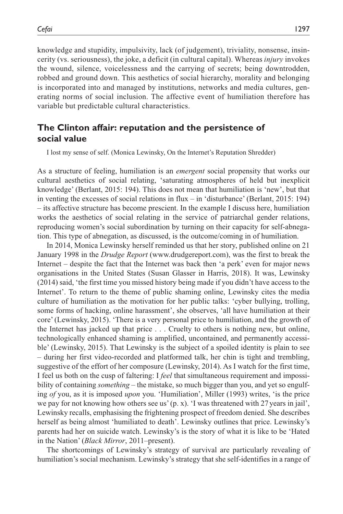knowledge and stupidity, impulsivity, lack (of judgement), triviality, nonsense, insincerity (vs. seriousness), the joke, a deficit (in cultural capital). Whereas *injury* invokes the wound, silence, voicelessness and the carrying of secrets; being downtrodden, robbed and ground down. This aesthetics of social hierarchy, morality and belonging is incorporated into and managed by institutions, networks and media cultures, generating norms of social inclusion. The affective event of humiliation therefore has variable but predictable cultural characteristics.

# **The Clinton affair: reputation and the persistence of social value**

I lost my sense of self. (Monica Lewinsky, On the Internet's Reputation Shredder)

As a structure of feeling, humiliation is an *emergent* social propensity that works our cultural aesthetics of social relating, 'saturating atmospheres of held but inexplicit knowledge' (Berlant, 2015: 194). This does not mean that humiliation is 'new', but that in venting the excesses of social relations in flux – in 'disturbance' (Berlant, 2015: 194) – its affective structure has become prescient. In the example I discuss here, humiliation works the aesthetics of social relating in the service of patriarchal gender relations, reproducing women's social subordination by turning on their capacity for self-abnegation. This type of abnegation, as discussed, is the outcome/coming in of humiliation.

In 2014, Monica Lewinsky herself reminded us that her story, published online on 21 January 1998 in the *Drudge Report* ([www.drudgereport.com\)](www.drudgereport.com), was the first to break the Internet – despite the fact that the Internet was back then 'a perk' even for major news organisations in the United States (Susan Glasser in Harris, 2018). It was, Lewinsky (2014) said, 'the first time you missed history being made if you didn't have access to the Internet'. To return to the theme of public shaming online, Lewinsky cites the media culture of humiliation as the motivation for her public talks: 'cyber bullying, trolling, some forms of hacking, online harassment', she observes, 'all have humiliation at their core' (Lewinsky, 2015). 'There is a very personal price to humiliation, and the growth of the Internet has jacked up that price . . . Cruelty to others is nothing new, but online, technologically enhanced shaming is amplified, uncontained, and permanently accessible' (Lewinsky, 2015). That Lewinsky is the subject of a spoiled identity is plain to see – during her first video-recorded and platformed talk, her chin is tight and trembling, suggestive of the effort of her composure (Lewinsky, 2014). As I watch for the first time, I feel us both on the cusp of faltering: I *feel* that simultaneous requirement and impossibility of containing *something* – the mistake, so much bigger than you, and yet so engulfing *of* you, as it is imposed *upon* you. 'Humiliation', Miller (1993) writes, 'is the price we pay for not knowing how others see us' (p. x). 'I was threatened with 27years in jail', Lewinsky recalls, emphasising the frightening prospect of freedom denied. She describes herself as being almost 'humiliated to death'. Lewinsky outlines that price. Lewinsky's parents had her on suicide watch. Lewinsky's is the story of what it is like to be 'Hated in the Nation' (*Black Mirror*, 2011–present).

The shortcomings of Lewinsky's strategy of survival are particularly revealing of humiliation's social mechanism. Lewinsky's strategy that she self-identifies in a range of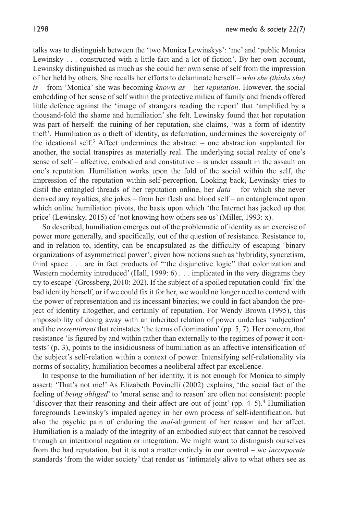talks was to distinguish between the 'two Monica Lewinskys': 'me' and 'public Monica Lewinsky . . . constructed with a little fact and a lot of fiction'. By her own account, Lewinsky distinguished as much as she could her own sense of self from the impression of her held by others. She recalls her efforts to delaminate herself – *who she (thinks she) is* – from 'Monica' she was becoming *known as* – her *reputation*. However, the social embedding of her sense of self within the protective milieu of family and friends offered little defence against the 'image of strangers reading the report' that 'amplified by a thousand-fold the shame and humiliation' she felt. Lewinsky found that her reputation was part of herself: the ruining of her reputation, she claims, 'was a form of identity theft'. Humiliation as a theft of identity, as defamation, undermines the sovereignty of the ideational self.<sup>3</sup> Affect undermines the abstract  $-$  one abstraction supplanted for another, the social transpires as materially real. The underlying social reality of one's sense of self – affective, embodied and constitutive – is under assault in the assault on one's reputation. Humiliation works upon the fold of the social within the self, the impression of the reputation within self-perception. Looking back, Lewinsky tries to distil the entangled threads of her reputation online, her *data* – for which she never derived any royalties, she jokes – from her flesh and blood self – an entanglement upon which online humiliation pivots, the basis upon which 'the Internet has jacked up that price' (Lewinsky, 2015) of 'not knowing how others see us' (Miller, 1993: x).

So described, humiliation emerges out of the problematic of identity as an exercise of power more generally, and specifically, out of the question of resistance. Resistance to, and in relation to, identity, can be encapsulated as the difficulty of escaping 'binary organizations of asymmetrical power', given how notions such as 'hybridity, syncretism, third space . . . are in fact products of "'the disjunctive logic" that colonization and Western modernity introduced' (Hall, 1999: 6) . . . implicated in the very diagrams they try to escape' (Grossberg, 2010: 202). If the subject of a spoiled reputation could 'fix' the bad identity herself, or if we could fix it for her, we would no longer need to contend with the power of representation and its incessant binaries; we could in fact abandon the project of identity altogether, and certainly of reputation. For Wendy Brown (1995), this impossibility of doing away with an inherited relation of power underlies 'subjection' and the *ressentiment* that reinstates 'the terms of domination' (pp. 5, 7). Her concern, that resistance 'is figured by and within rather than externally to the regimes of power it contests' (p. 3), points to the insidiousness of humiliation as an affective intensification of the subject's self-relation within a context of power. Intensifying self-relationality via norms of sociality, humiliation becomes a neoliberal affect par excellence.

In response to the humiliation of her identity, it is not enough for Monica to simply assert: 'That's not me!' As Elizabeth Povinelli (2002) explains, 'the social fact of the feeling of *being obliged*' to 'moral sense and to reason' are often not consistent: people 'discover that their reasoning and their affect are out of joint' (pp. 4–5).<sup>4</sup> Humiliation foregrounds Lewinsky's impaled agency in her own process of self-identification, but also the psychic pain of enduring the *mal*-alignment of her reason and her affect. Humiliation is a malady of the integrity of an embodied subject that cannot be resolved through an intentional negation or integration. We might want to distinguish ourselves from the bad reputation, but it is not a matter entirely in our control – we *incorporate* standards 'from the wider society' that render us 'intimately alive to what others see as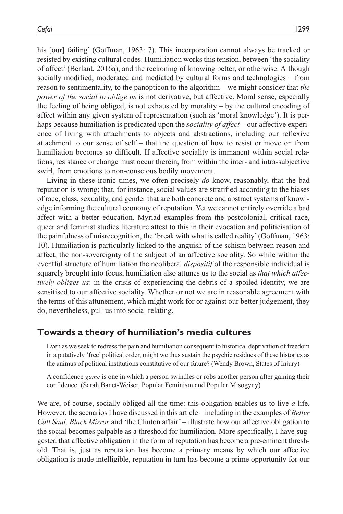his [our] failing' (Goffman, 1963: 7). This incorporation cannot always be tracked or resisted by existing cultural codes. Humiliation works this tension, between 'the sociality of affect' (Berlant, 2016a), and the reckoning of knowing better, or otherwise. Although socially modified, moderated and mediated by cultural forms and technologies – from reason to sentimentality, to the panopticon to the algorithm – we might consider that *the power of the social to oblige us* is not derivative, but affective. Moral sense, especially the feeling of being obliged, is not exhausted by morality – by the cultural encoding of affect within any given system of representation (such as 'moral knowledge'). It is perhaps because humiliation is predicated upon the *sociality of affect* – our affective experience of living with attachments to objects and abstractions, including our reflexive attachment to our sense of self – that the question of how to resist or move on from humiliation becomes so difficult. If affective sociality is immanent within social relations, resistance or change must occur therein, from within the inter- and intra-subjective swirl, from emotions to non-conscious bodily movement.

Living in these ironic times, we often precisely *do* know, reasonably, that the bad reputation is wrong; that, for instance, social values are stratified according to the biases of race, class, sexuality, and gender that are both concrete and abstract systems of knowledge informing the cultural economy of reputation. Yet we cannot entirely override a bad affect with a better education. Myriad examples from the postcolonial, critical race, queer and feminist studies literature attest to this in their evocation and politicisation of the painfulness of misrecognition, the 'break with what is called reality' (Goffman, 1963: 10). Humiliation is particularly linked to the anguish of the schism between reason and affect, the non-sovereignty of the subject of an affective sociality. So while within the eventful structure of humiliation the neoliberal *dispositif* of the responsible individual is squarely brought into focus, humiliation also attunes us to the social as *that which affectively obliges us*: in the crisis of experiencing the debris of a spoiled identity, we are sensitised to our affective sociality. Whether or not we are in reasonable agreement with the terms of this attunement, which might work for or against our better judgement, they do, nevertheless, pull us into social relating.

# **Towards a theory of humiliation's media cultures**

Even as we seek to redress the pain and humiliation consequent to historical deprivation of freedom in a putatively 'free' political order, might we thus sustain the psychic residues of these histories as the animus of political institutions constitutive of our future? (Wendy Brown, States of Injury)

A confidence *game* is one in which a person swindles or robs another person after gaining their confidence. (Sarah Banet-Weiser, Popular Feminism and Popular Misogyny)

We are, of course, socially obliged all the time: this obligation enables us to live *a* life. However, the scenarios I have discussed in this article – including in the examples of *Better Call Saul, Black Mirror* and 'the Clinton affair' – illustrate how our affective obligation to the social becomes palpable as a threshold for humiliation. More specifically, I have suggested that affective obligation in the form of reputation has become a pre-eminent threshold. That is, just as reputation has become a primary means by which our affective obligation is made intelligible, reputation in turn has become a prime opportunity for our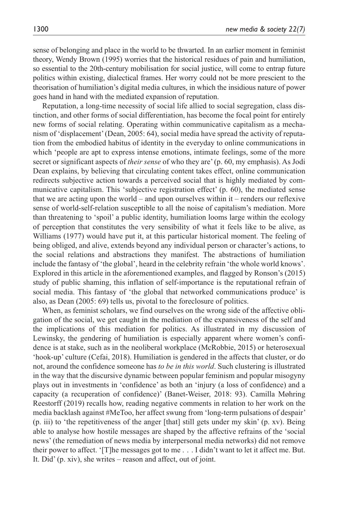sense of belonging and place in the world to be thwarted. In an earlier moment in feminist theory, Wendy Brown (1995) worries that the historical residues of pain and humiliation, so essential to the 20th-century mobilisation for social justice, will come to entrap future politics within existing, dialectical frames. Her worry could not be more prescient to the theorisation of humiliation's digital media cultures, in which the insidious nature of power goes hand in hand with the mediated expansion of reputation.

Reputation, a long-time necessity of social life allied to social segregation, class distinction, and other forms of social differentiation, has become the focal point for entirely new forms of social relating. Operating within communicative capitalism as a mechanism of 'displacement' (Dean, 2005: 64), social media have spread the activity of reputation from the embodied habitus of identity in the everyday to online communications in which 'people are apt to express intense emotions, intimate feelings, some of the more secret or significant aspects of *their sense* of who they are' (p. 60, my emphasis). As Jodi Dean explains, by believing that circulating content takes effect, online communication redirects subjective action towards a perceived social that is highly mediated by communicative capitalism. This 'subjective registration effect' (p. 60), the mediated sense that we are acting upon the world – and upon ourselves within it – renders our reflexive sense of world-self-relation susceptible to all the noise of capitalism's mediation. More than threatening to 'spoil' a public identity, humiliation looms large within the ecology of perception that constitutes the very sensibility of what it feels like to be alive, as Williams (1977) would have put it, at this particular historical moment. The feeling of being obliged, and alive, extends beyond any individual person or character's actions, to the social relations and abstractions they manifest. The abstractions of humiliation include the fantasy of 'the global', heard in the celebrity refrain 'the whole world knows'. Explored in this article in the aforementioned examples, and flagged by Ronson's (2015) study of public shaming, this inflation of self-importance is the reputational refrain of social media. This fantasy of 'the global that networked communications produce' is also, as Dean (2005: 69) tells us, pivotal to the foreclosure of politics.

When, as feminist scholars, we find ourselves on the wrong side of the affective obligation of the social, we get caught in the mediation of the expansiveness of the self and the implications of this mediation for politics. As illustrated in my discussion of Lewinsky, the gendering of humiliation is especially apparent where women's confidence is at stake, such as in the neoliberal workplace (McRobbie, 2015) or heterosexual 'hook-up' culture (Cefai, 2018). Humiliation is gendered in the affects that cluster, or do not, around the confidence someone has *to be in this world*. Such clustering is illustrated in the way that the discursive dynamic between popular feminism and popular misogyny plays out in investments in 'confidence' as both an 'injury (a loss of confidence) and a capacity (a recuperation of confidence)' (Banet-Weiser, 2018: 93). Camilla Møhring Reestorff (2019) recalls how, reading negative comments in relation to her work on the media backlash against #MeToo, her affect swung from 'long-term pulsations of despair' (p. iii) to 'the repetitiveness of the anger [that] still gets under my skin' (p. xv). Being able to analyse how hostile messages are shaped by the affective refrains of the 'social news' (the remediation of news media by interpersonal media networks) did not remove their power to affect. '[T]he messages got to me . . . I didn't want to let it affect me. But. It. Did' (p. xiv), she writes – reason and affect, out of joint.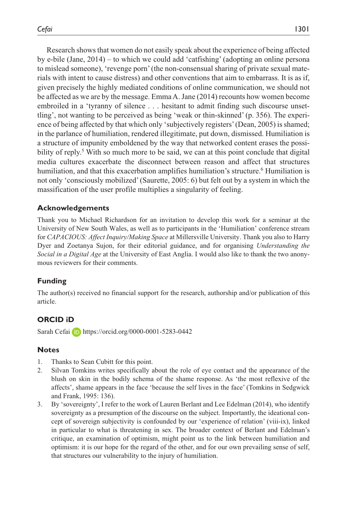Research shows that women do not easily speak about the experience of being affected by e-bile (Jane, 2014) – to which we could add 'catfishing' (adopting an online persona to mislead someone), 'revenge porn' (the non-consensual sharing of private sexual materials with intent to cause distress) and other conventions that aim to embarrass. It is as if, given precisely the highly mediated conditions of online communication, we should not be affected as we are by the message. Emma A. Jane (2014) recounts how women become embroiled in a 'tyranny of silence . . . hesitant to admit finding such discourse unsettling', not wanting to be perceived as being 'weak or thin-skinned' (p. 356). The experience of being affected by that which only 'subjectively registers' (Dean, 2005) is shamed; in the parlance of humiliation, rendered illegitimate, put down, dismissed. Humiliation is a structure of impunity emboldened by the way that networked content erases the possibility of reply.<sup>5</sup> With so much more to be said, we can at this point conclude that digital media cultures exacerbate the disconnect between reason and affect that structures humiliation, and that this exacerbation amplifies humiliation's structure.<sup>6</sup> Humiliation is not only 'consciously mobilized' (Saurette, 2005: 6) but felt out by a system in which the massification of the user profile multiplies a singularity of feeling.

#### **Acknowledgements**

Thank you to Michael Richardson for an invitation to develop this work for a seminar at the University of New South Wales, as well as to participants in the 'Humiliation' conference stream for *CAPACIOUS: Affect Inquiry/Making Space* at Millersville University. Thank you also to Harry Dyer and Zoetanya Sujon, for their editorial guidance, and for organising *Understanding the Social in a Digital Age* at the University of East Anglia. I would also like to thank the two anonymous reviewers for their comments.

#### **Funding**

The author(s) received no financial support for the research, authorship and/or publication of this article.

#### **ORCID iD**

Sarah Cefai **iD** <https://orcid.org/0000-0001-5283-0442>

#### **Notes**

- 1. Thanks to Sean Cubitt for this point.
- 2. Silvan Tomkins writes specifically about the role of eye contact and the appearance of the blush on skin in the bodily schema of the shame response. As 'the most reflexive of the affects', shame appears in the face 'because the self lives in the face' (Tomkins in Sedgwick and Frank, 1995: 136).
- 3. By 'sovereignty', I refer to the work of Lauren Berlant and Lee Edelman (2014), who identify sovereignty as a presumption of the discourse on the subject. Importantly, the ideational concept of sovereign subjectivity is confounded by our 'experience of relation' (viii-ix), linked in particular to what is threatening in sex. The broader context of Berlant and Edelman's critique, an examination of optimism, might point us to the link between humiliation and optimism: it is our hope for the regard of the other, and for our own prevailing sense of self, that structures our vulnerability to the injury of humiliation.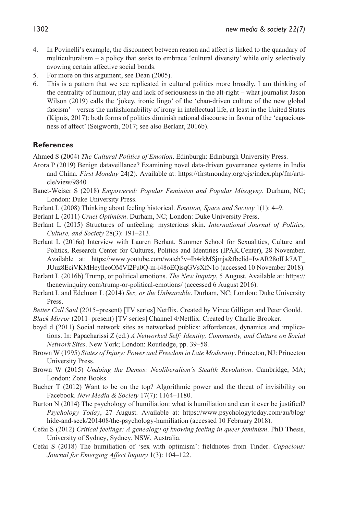- 4. In Povinelli's example, the disconnect between reason and affect is linked to the quandary of multiculturalism – a policy that seeks to embrace 'cultural diversity' while only selectively avowing certain affective social bonds.
- 5. For more on this argument, see Dean (2005).
- 6. This is a pattern that we see replicated in cultural politics more broadly. I am thinking of the centrality of humour, play and lack of seriousness in the alt-right – what journalist Jason Wilson (2019) calls the 'jokey, ironic lingo' of the 'chan-driven culture of the new global fascism' – versus the unfashionability of irony in intellectual life, at least in the United States (Kipnis, 2017): both forms of politics diminish rational discourse in favour of the 'capaciousness of affect' (Seigworth, 2017; see also Berlant, 2016b).

#### **References**

Ahmed S (2004) *The Cultural Politics of Emotion*. Edinburgh: Edinburgh University Press.

- Arora P (2019) Benign dataveillance? Examining novel data-driven governance systems in India and China. *First Monday* 24(2). Available at: [https://firstmonday.org/ojs/index.php/fm/arti](https://firstmonday.org/ojs/index.php/fm/article/view/9840)[cle/view/9840](https://firstmonday.org/ojs/index.php/fm/article/view/9840)
- Banet-Weiser S (2018) *Empowered: Popular Feminism and Popular Misogyny*. Durham, NC; London: Duke University Press.
- Berlant L (2008) Thinking about feeling historical. *Emotion, Space and Society* 1(1): 4–9.
- Berlant L (2011) *Cruel Optimism*. Durham, NC; London: Duke University Press.
- Berlant L (2015) Structures of unfeeling: mysterious skin. *International Journal of Politics, Culture, and Society* 28(3): 191–213.
- Berlant L (2016a) Interview with Lauren Berlant. Summer School for Sexualities, Culture and Politics, Research Center for Cultures, Politics and Identities (IPAK.Center), 28 November. Available at: [https://www.youtube.com/watch?v=Ih4rkMSjmjs&fbclid=IwAR28oILk7AT\\_](https://www.youtube.com/watch?v=Ih4rkMSjmjs&fbclid=IwAR28oILk7AT_JUuz8EciVKMHeylleoOMVl2Fu0Q-m-i48oEQisqGVsXfN1o) [JUuz8EciVKMHeylleoOMVl2Fu0Q-m-i48oEQisqGVsXfN1o](https://www.youtube.com/watch?v=Ih4rkMSjmjs&fbclid=IwAR28oILk7AT_JUuz8EciVKMHeylleoOMVl2Fu0Q-m-i48oEQisqGVsXfN1o) (accessed 10 November 2018).
- Berlant L (2016b) Trump, or political emotions. *The New Inquiry*, 5 August. Available at: [https://](https://thenewinquiry.com/trump-or-political-emotions/) [thenewinquiry.com/trump-or-political-emotions/](https://thenewinquiry.com/trump-or-political-emotions/) (accessed 6 August 2016).
- Berlant L and Edelman L (2014) *Sex, or the Unbearable*. Durham, NC; London: Duke University Press.
- *Better Call Saul* (2015–present) [TV series] Netflix. Created by Vince Gilligan and Peter Gould.

*Black Mirror* (2011–present) [TV series] Channel 4/Netflix. Created by Charlie Brooker.

- boyd d (2011) Social network sites as networked publics: affordances, dynamics and implications. In: Papacharissi Z (ed.) *A Networked Self: Identity, Community, and Culture on Social Network Sites*. New York; London: Routledge, pp. 39–58.
- Brown W (1995) *States of Injury: Power and Freedom in Late Modernity*. Princeton, NJ: Princeton University Press.
- Brown W (2015) *Undoing the Demos: Neoliberalism's Stealth Revolution*. Cambridge, MA; London: Zone Books.
- Bucher T (2012) Want to be on the top? Algorithmic power and the threat of invisibility on Facebook. *New Media & Society* 17(7): 1164–1180.
- Burton N (2014) The psychology of humiliation: what is humiliation and can it ever be justified? *Psychology Today*, 27 August. Available at: [https://www.psychologytoday.com/au/blog/](https://www.psychologytoday.com/au/blog/hide-and-seek/201408/the-psychology-humiliation) [hide-and-seek/201408/the-psychology-humiliation](https://www.psychologytoday.com/au/blog/hide-and-seek/201408/the-psychology-humiliation) (accessed 10 February 2018).
- Cefai S (2012) *Critical feelings: A genealogy of knowing feeling in queer feminism*. PhD Thesis, University of Sydney, Sydney, NSW, Australia.
- Cefai S (2018) The humiliation of 'sex with optimism': fieldnotes from Tinder. *Capacious: Journal for Emerging Affect Inquiry* 1(3): 104–122.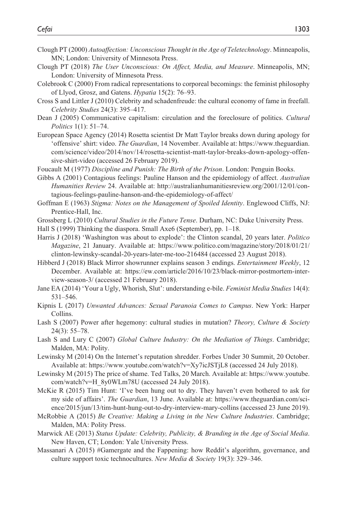- Clough PT (2000) *Autoaffection: Unconscious Thought in the Age of Teletechnology*. Minneapolis, MN; London: University of Minnesota Press.
- Clough PT (2018) *The User Unconscious: On Affect, Media, and Measure*. Minneapolis, MN; London: University of Minnesota Press.
- Colebrook C (2000) From radical representations to corporeal becomings: the feminist philosophy of Llyod, Grosz, and Gatens. *Hypatia* 15(2): 76–93.
- Cross S and Littler J (2010) Celebrity and schadenfreude: the cultural economy of fame in freefall. *Celebrity Studies* 24(3): 395–417.
- Dean J (2005) Communicative capitalism: circulation and the foreclosure of politics. *Cultural Politics* 1(1): 51–74.
- European Space Agency (2014) Rosetta scientist Dr Matt Taylor breaks down during apology for 'offensive' shirt: video. *The Guardian*, 14 November. Available at: [https://www.theguardian.](https://www.theguardian.com/science/video/2014/nov/14/rosetta-scientist-matt-taylor-breaks-down-apology-offensive-shirt-video) [com/science/video/2014/nov/14/rosetta-scientist-matt-taylor-breaks-down-apology-offen](https://www.theguardian.com/science/video/2014/nov/14/rosetta-scientist-matt-taylor-breaks-down-apology-offensive-shirt-video)[sive-shirt-video](https://www.theguardian.com/science/video/2014/nov/14/rosetta-scientist-matt-taylor-breaks-down-apology-offensive-shirt-video) (accessed 26 February 2019).
- Foucault M (1977) *Discipline and Punish: The Birth of the Prison*. London: Penguin Books.
- Gibbs A (2001) Contagious feelings: Pauline Hanson and the epidemiology of affect. *Australian Humanities Review* 24. Available at: [http://australianhumanitiesreview.org/2001/12/01/con](http://australianhumanitiesreview.org/2001/12/01/contagious-feelings-pauline-hanson-and-the-epidemiology-of-affect/)[tagious-feelings-pauline-hanson-and-the-epidemiology-of-affect/](http://australianhumanitiesreview.org/2001/12/01/contagious-feelings-pauline-hanson-and-the-epidemiology-of-affect/)
- Goffman E (1963) *Stigma: Notes on the Management of Spoiled Identity*. Englewood Cliffs, NJ: Prentice-Hall, Inc.
- Grossberg L (2010) *Cultural Studies in the Future Tense*. Durham, NC: Duke University Press.
- Hall S (1999) Thinking the diaspora. Small Axe6 (September), pp. 1–18.
- Harris J (2018) 'Washington was about to explode': the Clinton scandal, 20 years later. *Politico Magazine*, 21 January. Available at: [https://www.politico.com/magazine/story/2018/01/21/](https://www.politico.com/magazine/story/2018/01/21/clinton-lewinsky-scandal-20-years-later-me-too-216484) [clinton-lewinsky-scandal-20-years-later-me-too-216484](https://www.politico.com/magazine/story/2018/01/21/clinton-lewinsky-scandal-20-years-later-me-too-216484) (accessed 23 August 2018).
- Hibberd J (2018) Black Mirror showrunner explains season 3 endings. *Entertainment Weekly*, 12 December. Available at: [https://ew.com/article/2016/10/23/black-mirror-postmortem-inter](https://ew.com/article/2016/10/23/black-mirror-postmortem-interview-season-3/)[view-season-3/](https://ew.com/article/2016/10/23/black-mirror-postmortem-interview-season-3/) (accessed 21 February 2018).
- Jane EA (2014) 'Your a Ugly, Whorish, Slut': understanding e-bile. *Feminist Media Studies* 14(4): 531–546.
- Kipnis L (2017) *Unwanted Advances: Sexual Paranoia Comes to Campus*. New York: Harper Collins.
- Lash S (2007) Power after hegemony: cultural studies in mutation? *Theory, Culture & Society* 24(3): 55–78.
- Lash S and Lury C (2007) *Global Culture Industry: On the Mediation of Things*. Cambridge; Malden, MA: Polity.
- Lewinsky M (2014) On the Internet's reputation shredder. Forbes Under 30 Summit, 20 October. Available at: <https://www.youtube.com/watch?v=Xy7icJSTjL8> (accessed 24 July 2018).
- Lewinsky M (2015) The price of shame. Ted Talks, 20 March. Available at: [https://www.youtube.](https://www.youtube.com/watch?v=H_8y0WLm78U) [com/watch?v=H\\_8y0WLm78U](https://www.youtube.com/watch?v=H_8y0WLm78U) (accessed 24 July 2018).
- McKie R (2015) Tim Hunt: 'I've been hung out to dry. They haven't even bothered to ask for my side of affairs'. *The Guardian*, 13 June. Available at: [https://www.theguardian.com/sci](https://www.theguardian.com/science/2015/jun/13/tim-hunt-hung-out-to-dry-interview-mary-collins)[ence/2015/jun/13/tim-hunt-hung-out-to-dry-interview-mary-collins](https://www.theguardian.com/science/2015/jun/13/tim-hunt-hung-out-to-dry-interview-mary-collins) (accessed 23 June 2019).
- McRobbie A (2015) *Be Creative: Making a Living in the New Culture Industries*. Cambridge; Malden, MA: Polity Press.
- Marwick AE (2013) *Status Update: Celebrity, Publicity, & Branding in the Age of Social Media*. New Haven, CT; London: Yale University Press.
- Massanari A (2015) #Gamergate and the Fappening: how Reddit's algorithm, governance, and culture support toxic technocultures. *New Media & Society* 19(3): 329–346.